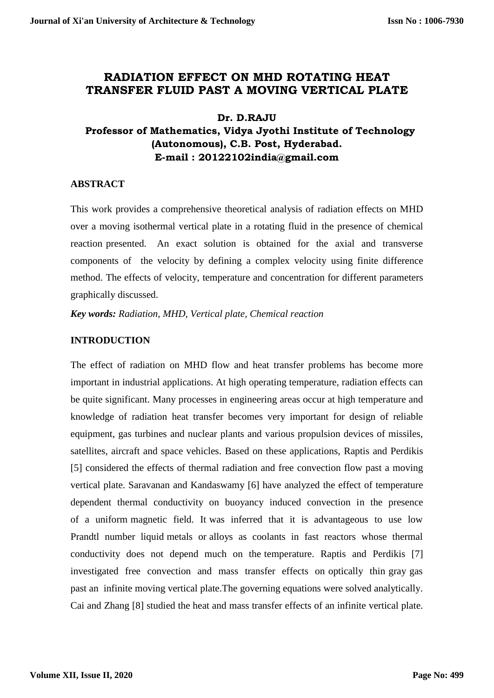# **RADIATION EFFECT ON MHD ROTATING HEAT TRANSFER FLUID PAST A MOVING VERTICAL PLATE**

## **Dr. D.RAJU**

# **Professor of Mathematics, Vidya Jyothi Institute of Technology (Autonomous), C.B. Post, Hyderabad. E-mail : 20122102india@gmail.com**

## **ABSTRACT**

This work provides a comprehensive theoretical analysis of radiation effects on MHD over a moving isothermal vertical plate in a rotating fluid in the presence of chemical reaction presented. An exact solution is obtained for the axial and transverse components of the velocity by defining a complex velocity using finite difference method. The effects of velocity, temperature and concentration for different parameters graphically discussed.

*Key words: Radiation, MHD, Vertical plate, Chemical reaction*

## **INTRODUCTION**

The effect of radiation on MHD flow and heat transfer problems has become more important in industrial applications. At high operating temperature, radiation effects can be quite significant. Many processes in engineering areas occur at high temperature and knowledge of radiation heat transfer becomes very important for design of reliable equipment, gas turbines and nuclear plants and various propulsion devices of missiles, satellites, aircraft and space vehicles. Based on these applications, Raptis and Perdikis [5] considered the effects of thermal radiation and free convection flow past a moving vertical plate. Saravanan and Kandaswamy [6] have analyzed the effect of temperature dependent thermal conductivity on buoyancy induced convection in the presence of a uniform magnetic field. It was inferred that it is advantageous to use low Prandtl number liquid metals or alloys as coolants in fast reactors whose thermal conductivity does not depend much on the temperature. Raptis and Perdikis [7] investigated free convection and mass transfer effects on optically thin gray gas past an infinite moving vertical plate.The governing equations were solved analytically. Cai and Zhang [8] studied the heat and mass transfer effects of an infinite vertical plate.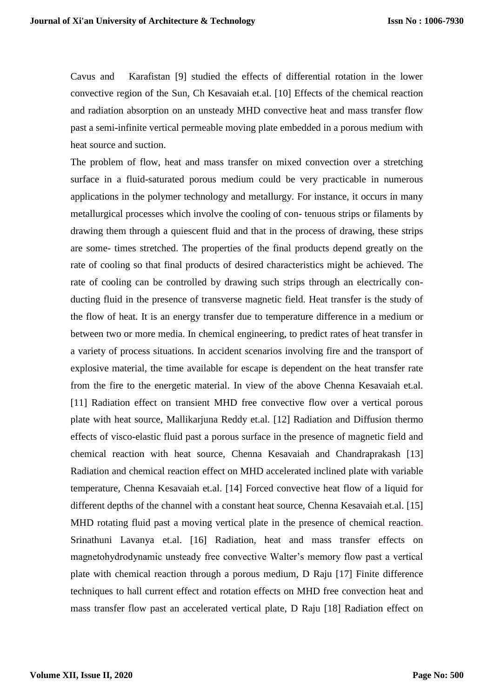Cavus and Karafistan [9] studied the effects of differential rotation in the lower convective region of the Sun, Ch Kesavaiah et.al. [10] Effects of the chemical reaction and radiation absorption on an unsteady MHD convective heat and mass transfer flow past a semi-infinite vertical permeable moving plate embedded in a porous medium with heat source and suction.

The problem of flow, heat and mass transfer on mixed convection over a stretching surface in a fluid-saturated porous medium could be very practicable in numerous applications in the polymer technology and metallurgy. For instance, it occurs in many metallurgical processes which involve the cooling of con- tenuous strips or filaments by drawing them through a quiescent fluid and that in the process of drawing, these strips are some- times stretched. The properties of the final products depend greatly on the rate of cooling so that final products of desired characteristics might be achieved. The rate of cooling can be controlled by drawing such strips through an electrically conducting fluid in the presence of transverse magnetic field. Heat transfer is the study of the flow of heat. It is an energy transfer due to temperature difference in a medium or between two or more media. In chemical engineering, to predict rates of heat transfer in a variety of process situations. In accident scenarios involving fire and the transport of explosive material, the time available for escape is dependent on the heat transfer rate from the fire to the energetic material. In view of the above Chenna Kesavaiah et.al. [11] Radiation effect on transient MHD free convective flow over a vertical porous plate with heat source*,* Mallikarjuna Reddy et.al. [12] Radiation and Diffusion thermo effects of visco-elastic fluid past a porous surface in the presence of magnetic field and chemical reaction with heat source, Chenna Kesavaiah and Chandraprakash [13] Radiation and chemical reaction effect on MHD accelerated inclined plate with variable temperature, Chenna Kesavaiah et.al. [14] Forced convective heat flow of a liquid for different depths of the channel with a constant heat source, Chenna Kesavaiah et.al. [15] MHD rotating fluid past a moving vertical plate in the presence of chemical reaction. Srinathuni Lavanya et.al. [16] Radiation, heat and mass transfer effects on magnetohydrodynamic unsteady free convective Walter's memory flow past a vertical plate with chemical reaction through a porous medium, D Raju [17] Finite difference techniques to hall current effect and rotation effects on MHD free convection heat and mass transfer flow past an accelerated vertical plate, D Raju [18] Radiation effect on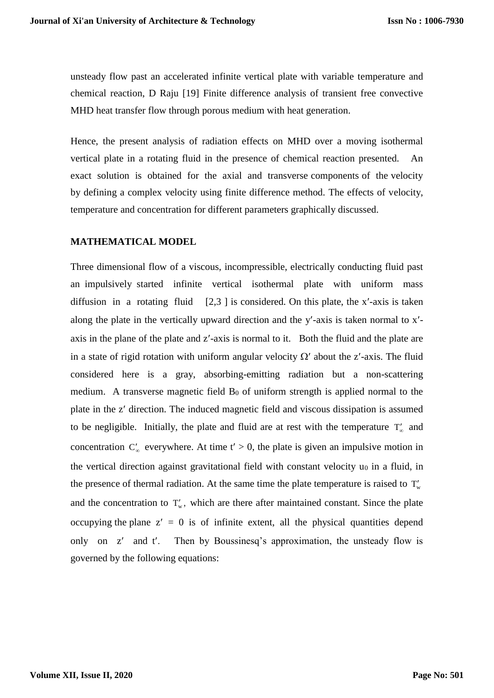unsteady flow past an accelerated infinite vertical plate with variable temperature and chemical reaction, D Raju [19] Finite difference analysis of transient free convective MHD heat transfer flow through porous medium with heat generation.

Hence, the present analysis of radiation effects on MHD over a moving isothermal vertical plate in a rotating fluid in the presence of chemical reaction presented. An exact solution is obtained for the axial and transverse components of the velocity by defining a complex velocity using finite difference method. The effects of velocity, temperature and concentration for different parameters graphically discussed.

## **MATHEMATICAL MODEL**

Three dimensional flow of a viscous, incompressible, electrically conducting fluid past an impulsively started infinite vertical isothermal plate with uniform mass diffusion in a rotating fluid  $[2,3]$  is considered. On this plate, the x'-axis is taken along the plate in the vertically upward direction and the  $y'$ -axis is taken normal to  $x'$ axis in the plane of the plate and z'-axis is normal to it. Both the fluid and the plate are in a state of rigid rotation with uniform angular velocity  $\Omega'$  about the z'-axis. The fluid considered here is a gray, absorbing-emitting radiation but a non-scattering medium. A transverse magnetic field  $B_0$  of uniform strength is applied normal to the plate in the z' direction. The induced magnetic field and viscous dissipation is assumed to be negligible. Initially, the plate and fluid are at rest with the temperature  $T'_{\infty}$  and concentration  $C'_{\infty}$  everywhere. At time t' > 0, the plate is given an impulsive motion in the vertical direction against gravitational field with constant velocity  $u_0$  in a fluid, in the presence of thermal radiation. At the same time the plate temperature is raised to  $T_w$ and the concentration to  $T_w$ , which are there after maintained constant. Since the plate occupying the plane  $z' = 0$  is of infinite extent, all the physical quantities depend only on  $z'$  and  $t'$ . Then by Boussinesq's approximation, the unsteady flow is governed by the following equations: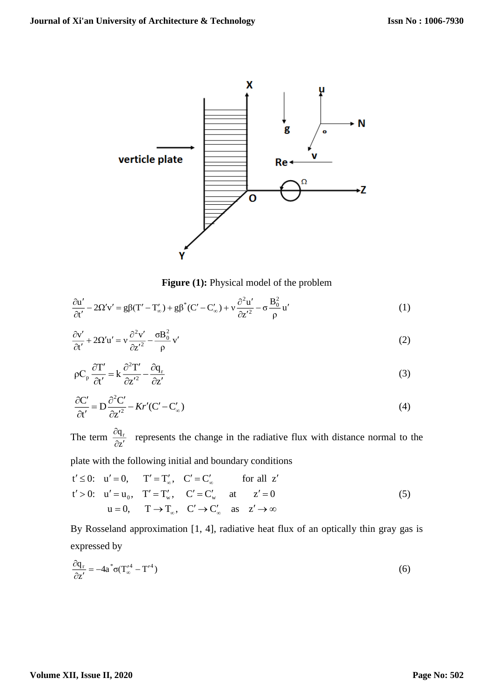

**Figure (1):** Physical model of the problem

$$
\frac{\partial \mathbf{u}'}{\partial t'} - 2\Omega' \mathbf{v}' = g\beta (\mathbf{T}' - \mathbf{T}'_{\infty}) + g\beta^* (\mathbf{C}' - \mathbf{C}'_{\infty}) + \nu \frac{\partial^2 \mathbf{u}'}{\partial z'^2} - \sigma \frac{\mathbf{B}_0^2}{\rho} \mathbf{u}' \tag{1}
$$

$$
\frac{\partial v'}{\partial t'} + 2\Omega' u' = v \frac{\partial^2 v'}{\partial z'^2} - \frac{\sigma B_0^2}{\rho} v'
$$
\n(2)

$$
\rho C_p \frac{\partial T'}{\partial t'} = k \frac{\partial^2 T'}{\partial z'^2} - \frac{\partial q_r}{\partial z'}
$$
\n(3)

$$
\frac{\partial C'}{\partial t'} = D \frac{\partial^2 C'}{\partial z'^2} - Kr'(C' - C'_\infty)
$$
\n(4)

The term  $\frac{\partial q}{\partial z}$  $\rm q_{\rm r}$  $\partial \rm{z}^{\prime}$  $\frac{\partial q_r}{\partial t}$  represents the change in the radiative flux with distance normal to the

plate with the following initial and boundary conditions

$$
t' \leq 0: \quad u' = 0, \qquad T' = T'_{\infty}, \quad C' = C'_{\infty} \qquad \text{for all } z'
$$
  
\n
$$
t' > 0: \quad u' = u_0, \quad T' = T'_{\infty}, \quad C' = C'_{\infty} \qquad \text{at} \qquad z' = 0
$$
  
\n
$$
u = 0, \qquad T \rightarrow T_{\infty}, \quad C' \rightarrow C'_{\infty} \qquad \text{as} \quad z' \rightarrow \infty
$$
  
\n(5)

By Rosseland approximation [1, 4], radiative heat flux of an optically thin gray gas is expressed by

$$
\frac{\partial q_r}{\partial z'} = -4a^* \sigma (T'^4_{\infty} - T'^4)
$$
\n(6)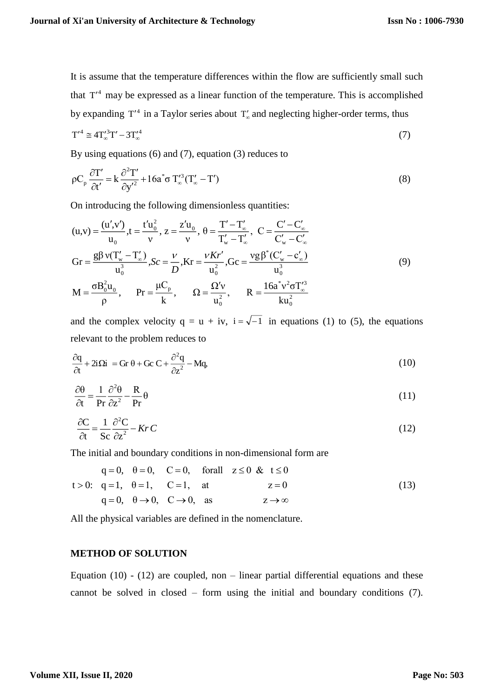It is assume that the temperature differences within the flow are sufficiently small such that  $T<sup>4</sup>$  may be expressed as a linear function of the temperature. This is accomplished by expanding  $T'^4$  in a Taylor series about  $T'_\infty$  and neglecting higher-order terms, thus

$$
T'^4 \cong 4T'^{3}_{\infty}T' - 3T'^{4}_{\infty} \tag{7}
$$

By using equations (6) and (7), equation (3) reduces to

$$
\rho C_p \frac{\partial T'}{\partial t'} = k \frac{\partial^2 T'}{\partial y'^2} + 16a^* \sigma T''_{\infty} (T'_{\infty} - T')
$$
\n(8)

On introducing the following dimensionless quantities:

$$
(u,v) = \frac{(u',v')}{u_0}, t = \frac{t'u_0^2}{v}, z = \frac{z'u_0}{v}, \theta = \frac{T'-T'_\infty}{T'_w - T'_\infty}, C = \frac{C'-C'_\infty}{C'_w - C'_\infty}
$$
  
\n
$$
Gr = \frac{g\beta v(T'_w - T'_\infty)}{u_0^3}, Sc = \frac{v}{D}, Kr = \frac{vKr'}{u_0^2}, Gc = \frac{vg\beta^*(C'_w - c'_\infty)}{u_0^3}
$$
  
\n
$$
M = \frac{\sigma B_0^2 u_0}{\rho}, \qquad Pr = \frac{\mu C_p}{k}, \qquad \Omega = \frac{\Omega'v}{u_0^2}, \qquad R = \frac{16a^*v^2 \sigma T'_\infty^3}{ku_0^2}
$$
\n(9)

and the complex velocity  $q = u + iv$ ,  $i = \sqrt{-1}$  in equations (1) to (5), the equations relevant to the problem reduces to

$$
\frac{\partial q}{\partial t} + 2i\Omega i = Gr \theta + Gc C + \frac{\partial^2 q}{\partial z^2} - Mq,
$$
\n(10)

$$
\frac{\partial \theta}{\partial t} = \frac{1}{\text{Pr}} \frac{\partial^2 \theta}{\partial z^2} - \frac{\text{R}}{\text{Pr}} \theta \tag{11}
$$

$$
\frac{\partial C}{\partial t} = \frac{1}{Sc} \frac{\partial^2 C}{\partial z^2} - KrC \tag{12}
$$

The initial and boundary conditions in non-dimensional form are

$$
q = 0, \quad \theta = 0, \quad C = 0, \quad \text{for all} \quad z \le 0 \quad \& t \le 0
$$
\n
$$
t > 0: \quad q = 1, \quad \theta = 1, \quad C = 1, \quad \text{at} \quad z = 0
$$
\n
$$
q = 0, \quad \theta \to 0, \quad C \to 0, \quad \text{as} \quad z \to \infty
$$
\n
$$
(13)
$$

All the physical variables are defined in the nomenclature.

#### **METHOD OF SOLUTION**

Equation  $(10)$  -  $(12)$  are coupled, non – linear partial differential equations and these cannot be solved in closed – form using the initial and boundary conditions (7).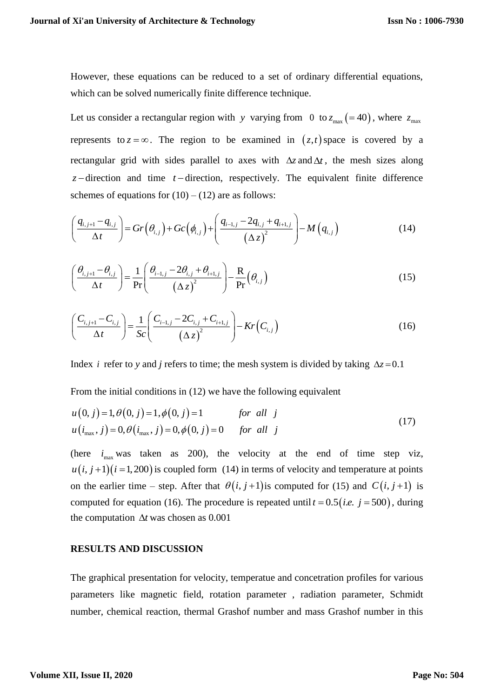However, these equations can be reduced to a set of ordinary differential equations, which can be solved numerically finite difference technique.

Let us consider a rectangular region with y varying from 0 to  $z_{\text{max}}$  (=40), where  $z_{\text{max}}$ represents to  $z = \infty$ . The region to be examined in  $(z, t)$  space is covered by a rectangular grid with sides parallel to axes with  $\Delta z$  and  $\Delta t$ , the mesh sizes along  $z$ -direction and time  $t$ -direction, respectively. The equivalent finite difference schemes of equations for  $(10) - (12)$  are as follows:

$$
\left(\frac{q_{i,j+1}-q_{i,j}}{\Delta t}\right) = Gr\left(\theta_{i,j}\right) + Gc\left(\phi_{i,j}\right) + \left(\frac{q_{i-1,j}-2q_{i,j}+q_{i+1,j}}{\left(\Delta z\right)^{2}}\right) - M\left(q_{i,j}\right)
$$
\n(14)

$$
\left(\frac{\theta_{i,j+1} - \theta_{i,j}}{\Delta t}\right) = \frac{1}{\Pr}\left(\frac{\theta_{i-1,j} - 2\theta_{i,j} + \theta_{i+1,j}}{\left(\Delta z\right)^2}\right) - \frac{R}{\Pr}\left(\theta_{i,j}\right)
$$
\n(15)

$$
\left(\frac{C_{i,j+1} - C_{i,j}}{\Delta t}\right) = \frac{1}{Sc} \left(\frac{C_{i-1,j} - 2C_{i,j} + C_{i+1,j}}{(\Delta z)^2}\right) - Kr(C_{i,j})
$$
\n(16)

Index *i* refer to *y* and *j* refers to time; the mesh system is divided by taking  $\Delta z = 0.1$ 

From the initial conditions in (12) we have the following equivalent

$$
u(0, j) = 1, \theta(0, j) = 1, \phi(0, j) = 1 \qquad \text{for all } j
$$
  

$$
u(i_{\text{max}}, j) = 0, \theta(i_{\text{max}}, j) = 0, \phi(0, j) = 0 \qquad \text{for all } j
$$
 (17)

(here  $i_{\text{max}}$  was taken as 200), the velocity at the end of time step viz,  $u(i, j+1)(i=1,200)$  is coupled form (14) in terms of velocity and temperature at points on the earlier time – step. After that  $\theta(i, j+1)$  is computed for (15) and  $C(i, j+1)$  is computed for equation (16). The procedure is repeated until  $t = 0.5$  (*i.e.*  $j = 500$ ), during the computation  $\Delta t$  was chosen as 0.001

#### **RESULTS AND DISCUSSION**

The graphical presentation for velocity, temperatue and concetration profiles for various parameters like magnetic field, rotation parameter , radiation parameter, Schmidt number, chemical reaction, thermal Grashof number and mass Grashof number in this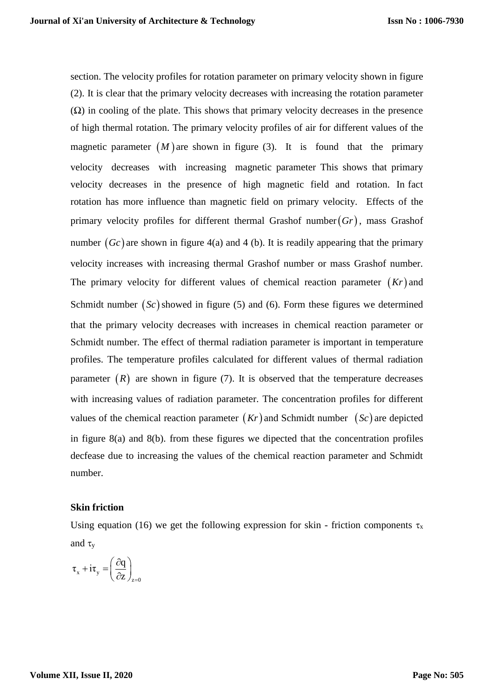section. The velocity profiles for rotation parameter on primary velocity shown in figure (2). It is clear that the primary velocity decreases with increasing the rotation parameter  $(\Omega)$  in cooling of the plate. This shows that primary velocity decreases in the presence of high thermal rotation. The primary velocity profiles of air for different values of the magnetic parameter  $(M)$  are shown in figure (3). It is found that the primary velocity decreases with increasing magnetic parameter This shows that primary velocity decreases in the presence of high magnetic field and rotation. In fact rotation has more influence than magnetic field on primary velocity. Effects of the primary velocity profiles for different thermal Grashof number *Gr* , mass Grashof number  $(Gc)$  are shown in figure 4(a) and 4 (b). It is readily appearing that the primary velocity increases with increasing thermal Grashof number or mass Grashof number. The primary velocity for different values of chemical reaction parameter  $(Kr)$  and Schmidt number  $(Sc)$  showed in figure (5) and (6). Form these figures we determined that the primary velocity decreases with increases in chemical reaction parameter or Schmidt number. The effect of thermal radiation parameter is important in temperature profiles. The temperature profiles calculated for different values of thermal radiation parameter  $(R)$  are shown in figure (7). It is observed that the temperature decreases with increasing values of radiation parameter. The concentration profiles for different values of the chemical reaction parameter  $(Kr)$  and Schmidt number  $(Sc)$  are depicted in figure 8(a) and 8(b). from these figures we dipected that the concentration profiles decfease due to increasing the values of the chemical reaction parameter and Schmidt number.

#### **Skin friction**

Using equation (16) we get the following expression for skin - friction components  $\tau_x$ and  $\tau_v$ 

$$
\tau_x + i\tau_y = \left(\frac{\partial q}{\partial z}\right)_{z=0}
$$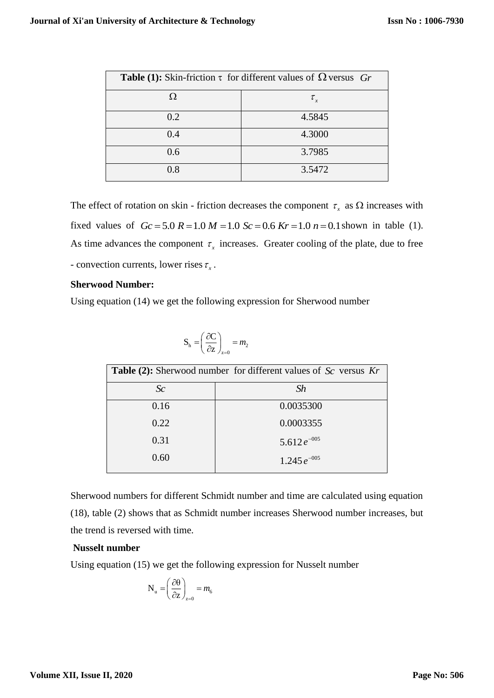| <b>Table (1):</b> Skin-friction $\tau$ for different values of $\Omega$ versus Gr |                |
|-----------------------------------------------------------------------------------|----------------|
| Ω                                                                                 | $\tau_{\rm x}$ |
| 0.2                                                                               | 4.5845         |
| 0.4                                                                               | 4.3000         |
| 0.6                                                                               | 3.7985         |
| 0.8                                                                               | 3.5472         |

The effect of rotation on skin - friction decreases the component  $\tau_x$  as  $\Omega$  increases with fixed values of  $Gc = 5.0 R = 1.0 M = 1.0 Sc = 0.6 Kr = 1.0 n = 0.1$  shown in table (1). As time advances the component  $\tau<sub>x</sub>$  increases. Greater cooling of the plate, due to free - convection currents, lower rises  $\tau_x$ .

#### **Sherwood Number:**

Using equation (14) we get the following expression for Sherwood number

$$
\mathbf{S}_{\mathrm{h}} = \left(\frac{\partial \mathbf{C}}{\partial \mathbf{z}}\right)_{\mathbf{z} = 0} = m_2
$$

| <b>Table (2):</b> Sherwood number for different values of $Sc$ versus $Kr$ |                   |
|----------------------------------------------------------------------------|-------------------|
| Sc                                                                         | Sh                |
| 0.16                                                                       | 0.0035300         |
| 0.22                                                                       | 0.0003355         |
| 0.31                                                                       | 5.612 $e^{-005}$  |
| 0.60                                                                       | 1.245 $e^{-0.05}$ |

Sherwood numbers for different Schmidt number and time are calculated using equation (18), table (2) shows that as Schmidt number increases Sherwood number increases, but the trend is reversed with time.

#### **Nusselt number**

Using equation (15) we get the following expression for Nusselt number

$$
N_{u} = \left(\frac{\partial \theta}{\partial z}\right)_{z=0} = m_{6}
$$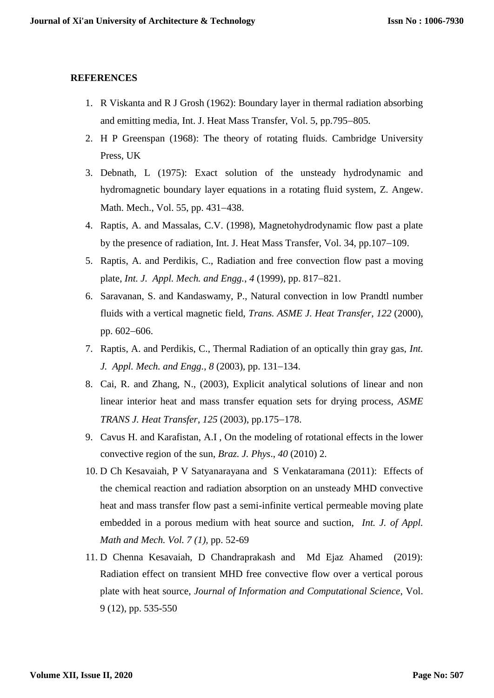#### **REFERENCES**

- 1. R Viskanta and R J Grosh (1962): Boundary layer in thermal radiation absorbing and emitting media, Int. J. Heat Mass Transfer, Vol. 5, pp.795–805.
- 2. H P Greenspan (1968): The theory of rotating fluids. Cambridge University Press, UK
- 3. Debnath, L (1975): Exact solution of the unsteady hydrodynamic and hydromagnetic boundary layer equations in a rotating fluid system, Z. Angew. Math. Mech., Vol. 55, pp. 431–438.
- 4. Raptis, A. and Massalas, C.V. (1998), Magnetohydrodynamic flow past a plate by the presence of radiation, Int. J. Heat Mass Transfer, Vol.  $34$ , pp.  $107-109$ .
- 5. Raptis, A. and Perdikis, C., Radiation and free convection flow past a moving plate, *Int. J. Appl. Mech. and Engg.*, 4 (1999), pp. 817–821.
- 6. Saravanan, S. and Kandaswamy, P., Natural convection in low Prandtl number fluids with a vertical magnetic field, *Trans. ASME J. Heat Transfer*, *122* (2000), pp. 602-606.
- 7. Raptis, A. and Perdikis, C., Thermal Radiation of an optically thin gray gas, *Int. J. Appl. Mech. and Engg.*, *8* (2003), pp. 131–134.
- 8. Cai, R. and Zhang, N., (2003), Explicit analytical solutions of linear and non linear interior heat and mass transfer equation sets for drying process, *ASME TRANS J. Heat Transfer, 125 (2003), pp.175-178.*
- 9. Cavus H. and Karafistan, A.I , On the modeling of rotational effects in the lower convective region of the sun, *Braz. J. Phys*., *40* (2010) 2.
- 10. D Ch Kesavaiah, P V Satyanarayana and S Venkataramana (2011): Effects of the chemical reaction and radiation absorption on an unsteady MHD convective heat and mass transfer flow past a semi-infinite vertical permeable moving plate embedded in a porous medium with heat source and suction, *Int. J. of Appl. Math and Mech. Vol. 7 (1),* pp. 52-69
- 11. D Chenna Kesavaiah, D Chandraprakash and Md Ejaz Ahamed (2019): Radiation effect on transient MHD free convective flow over a vertical porous plate with heat source*, Journal of Information and Computational Science*, Vol. 9 (12), pp. 535-550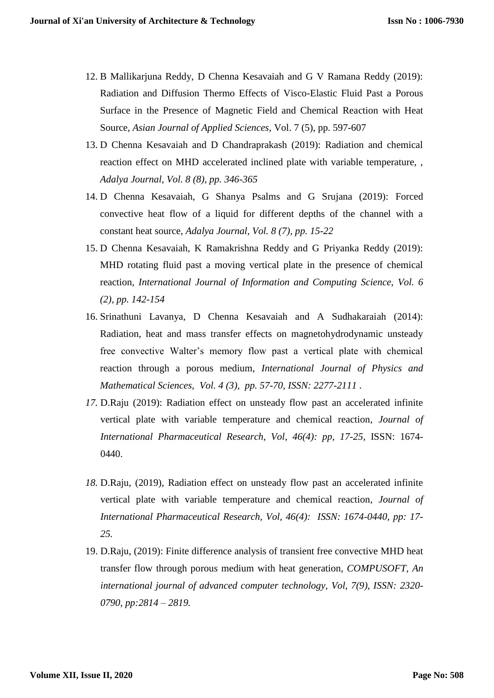- 12. B Mallikarjuna Reddy, D Chenna Kesavaiah and G V Ramana Reddy (2019): Radiation and Diffusion Thermo Effects of Visco-Elastic Fluid Past a Porous Surface in the Presence of Magnetic Field and Chemical Reaction with Heat Source, *Asian Journal of Applied Sciences*, Vol. 7 (5), pp. 597-607
- 13. D Chenna Kesavaiah and D Chandraprakash (2019): Radiation and chemical reaction effect on MHD accelerated inclined plate with variable temperature, , *Adalya Journal, Vol. 8 (8), pp. 346-365*
- 14. D Chenna Kesavaiah, G Shanya Psalms and G Srujana (2019): Forced convective heat flow of a liquid for different depths of the channel with a constant heat source, *Adalya Journal, Vol. 8 (7), pp. 15-22*
- 15. D Chenna Kesavaiah, K Ramakrishna Reddy and G Priyanka Reddy (2019): MHD rotating fluid past a moving vertical plate in the presence of chemical reaction, *International Journal of Information and Computing Science, Vol. 6 (2), pp. 142-154*
- 16. Srinathuni Lavanya, D Chenna Kesavaiah and A Sudhakaraiah (2014): Radiation, heat and mass transfer effects on magnetohydrodynamic unsteady free convective Walter's memory flow past a vertical plate with chemical reaction through a porous medium, *International Journal of Physics and Mathematical Sciences, Vol. 4 (3), pp. 57-70, ISSN: 2277-2111* .
- *17.* D.Raju (2019): Radiation effect on unsteady flow past an accelerated infinite vertical plate with variable temperature and chemical reaction, *Journal of International Pharmaceutical Research, Vol, 46(4): pp, 17-25,* ISSN: 1674- 0440.
- *18.* D.Raju, (2019), Radiation effect on unsteady flow past an accelerated infinite vertical plate with variable temperature and chemical reaction*, Journal of International Pharmaceutical Research, Vol, 46(4): ISSN: 1674-0440, pp: 17- 25.*
- 19. D.Raju, (2019): Finite difference analysis of transient free convective MHD heat transfer flow through porous medium with heat generation*, COMPUSOFT, An international journal of advanced computer technology, Vol, 7(9), ISSN: 2320- 0790, pp:2814 – 2819.*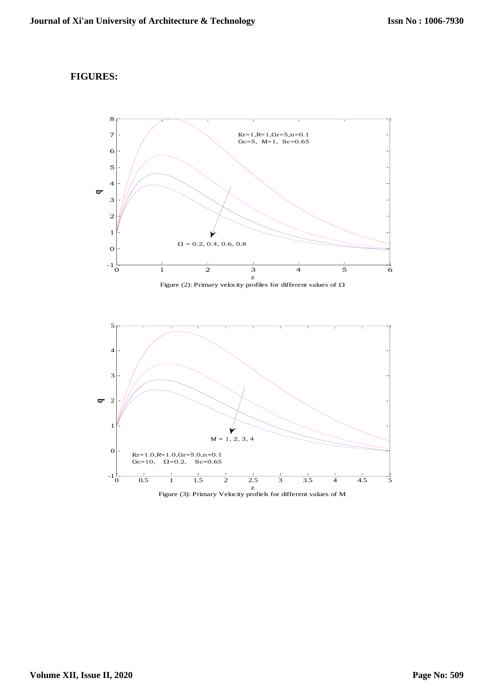#### **FIGURES:**



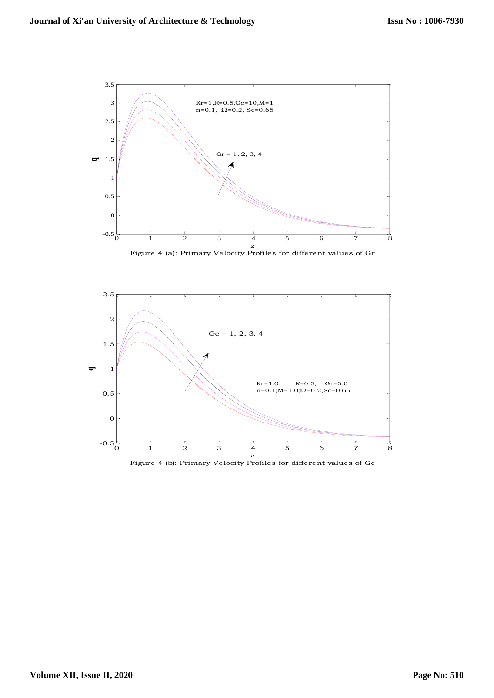

Figure 4 (a): Primary Velocity Profiles for different values of Gr



Figure 4 (b): Primary Velocity Profiles for different values of Gc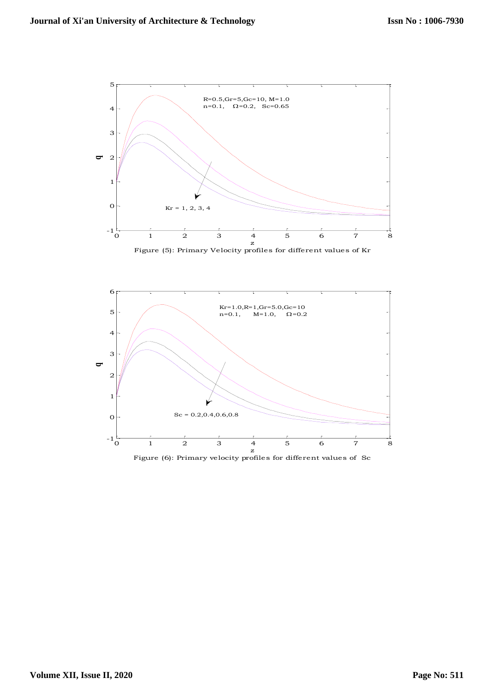





Figure (6): Primary velocity profiles for different values of Sc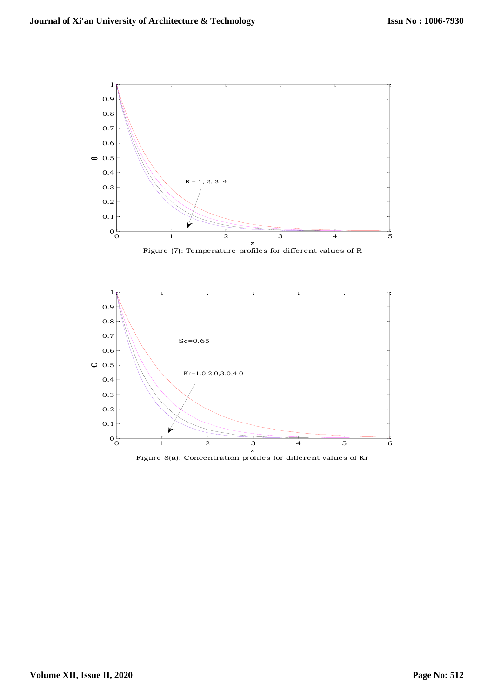

Figure (7): Temperature profiles for different values of R



Figure 8(a): Concentration profiles for different values of Kr